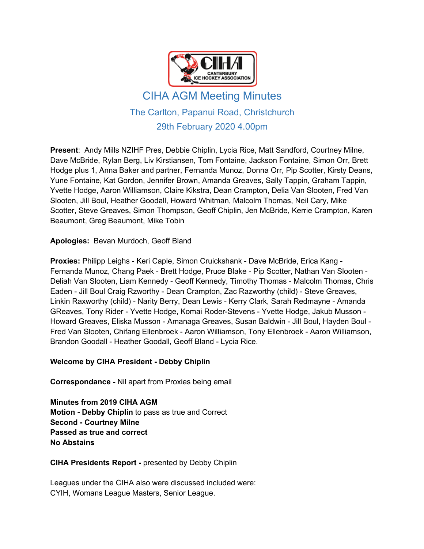

# CIHA AGM Meeting Minutes The Carlton, Papanui Road, Christchurch 29th February 2020 4.00pm

**Present**: Andy Mills NZIHF Pres, Debbie Chiplin, Lycia Rice, Matt Sandford, Courtney Milne, Dave McBride, Rylan Berg, Liv Kirstiansen, Tom Fontaine, Jackson Fontaine, Simon Orr, Brett Hodge plus 1, Anna Baker and partner, Fernanda Munoz, Donna Orr, Pip Scotter, Kirsty Deans, Yune Fontaine, Kat Gordon, Jennifer Brown, Amanda Greaves, Sally Tappin, Graham Tappin, Yvette Hodge, Aaron Williamson, Claire Kikstra, Dean Crampton, Delia Van Slooten, Fred Van Slooten, Jill Boul, Heather Goodall, Howard Whitman, Malcolm Thomas, Neil Cary, Mike Scotter, Steve Greaves, Simon Thompson, Geoff Chiplin, Jen McBride, Kerrie Crampton, Karen Beaumont, Greg Beaumont, Mike Tobin

**Apologies:** Bevan Murdoch, Geoff Bland

**Proxies:** Philipp Leighs - Keri Caple, Simon Cruickshank - Dave McBride, Erica Kang - Fernanda Munoz, Chang Paek - Brett Hodge, Pruce Blake - Pip Scotter, Nathan Van Slooten - Deliah Van Slooten, Liam Kennedy - Geoff Kennedy, Timothy Thomas - Malcolm Thomas, Chris Eaden - Jill Boul Craig Rzworthy - Dean Crampton, Zac Razworthy (child) - Steve Greaves, Linkin Raxworthy (child) - Narity Berry, Dean Lewis - Kerry Clark, Sarah Redmayne - Amanda GReaves, Tony Rider - Yvette Hodge, Komai Roder-Stevens - Yvette Hodge, Jakub Musson - Howard Greaves, Eliska Musson - Amanaga Greaves, Susan Baldwin - Jill Boul, Hayden Boul - Fred Van Slooten, Chifang Ellenbroek - Aaron Williamson, Tony Ellenbroek - Aaron Williamson, Brandon Goodall - Heather Goodall, Geoff Bland - Lycia Rice.

# **Welcome by CIHA President - Debby Chiplin**

**Correspondance -** Nil apart from Proxies being email

**Minutes from 2019 CIHA AGM Motion - Debby Chiplin** to pass as true and Correct **Second - Courtney Milne Passed as true and correct No Abstains**

#### **CIHA Presidents Report -** presented by Debby Chiplin

Leagues under the CIHA also were discussed included were: CYIH, Womans League Masters, Senior League.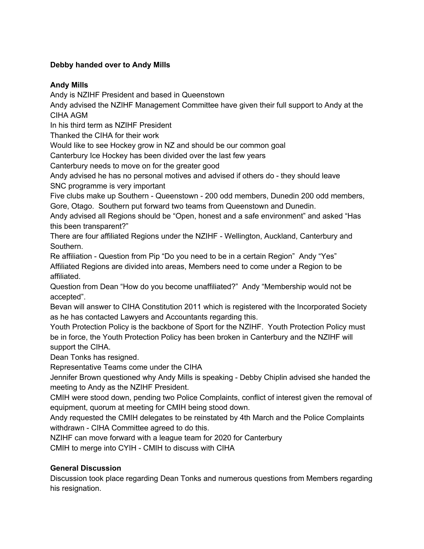# **Debby handed over to Andy Mills**

## **Andy Mills**

Andy is NZIHF President and based in Queenstown

Andy advised the NZIHF Management Committee have given their full support to Andy at the CIHA AGM

In his third term as NZIHF President

Thanked the CIHA for their work

Would like to see Hockey grow in NZ and should be our common goal

Canterbury Ice Hockey has been divided over the last few years

Canterbury needs to move on for the greater good

Andy advised he has no personal motives and advised if others do - they should leave SNC programme is very important

Five clubs make up Southern - Queenstown - 200 odd members, Dunedin 200 odd members, Gore, Otago. Southern put forward two teams from Queenstown and Dunedin.

Andy advised all Regions should be "Open, honest and a safe environment" and asked "Has this been transparent?"

There are four affiliated Regions under the NZIHF - Wellington, Auckland, Canterbury and Southern.

Re affiliation - Question from Pip "Do you need to be in a certain Region" Andy "Yes" Affiliated Regions are divided into areas, Members need to come under a Region to be affiliated.

Question from Dean "How do you become unaffiliated?" Andy "Membership would not be accepted".

Bevan will answer to CIHA Constitution 2011 which is registered with the Incorporated Society as he has contacted Lawyers and Accountants regarding this.

Youth Protection Policy is the backbone of Sport for the NZIHF. Youth Protection Policy must be in force, the Youth Protection Policy has been broken in Canterbury and the NZIHF will support the CIHA.

Dean Tonks has resigned.

Representative Teams come under the CIHA

Jennifer Brown questioned why Andy Mills is speaking - Debby Chiplin advised she handed the meeting to Andy as the NZIHF President.

CMIH were stood down, pending two Police Complaints, conflict of interest given the removal of equipment, quorum at meeting for CMIH being stood down.

Andy requested the CMIH delegates to be reinstated by 4th March and the Police Complaints withdrawn - CIHA Committee agreed to do this.

NZIHF can move forward with a league team for 2020 for Canterbury

CMIH to merge into CYIH - CMIH to discuss with CIHA

# **General Discussion**

Discussion took place regarding Dean Tonks and numerous questions from Members regarding his resignation.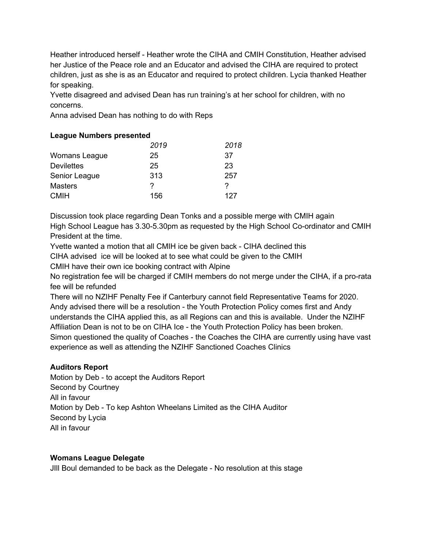Heather introduced herself - Heather wrote the CIHA and CMIH Constitution, Heather advised her Justice of the Peace role and an Educator and advised the CIHA are required to protect children, just as she is as an Educator and required to protect children. Lycia thanked Heather for speaking.

Yvette disagreed and advised Dean has run training's at her school for children, with no concerns.

Anna advised Dean has nothing to do with Reps

## **League Numbers presented**

|                   | 2019 | 2018 |
|-------------------|------|------|
| Womans League     | 25   | 37   |
| <b>Devilettes</b> | 25   | 23   |
| Senior League     | 313  | 257  |
| <b>Masters</b>    | ?    | ?    |
| <b>CMIH</b>       | 156  | 127  |

Discussion took place regarding Dean Tonks and a possible merge with CMIH again High School League has 3.30-5.30pm as requested by the High School Co-ordinator and CMIH President at the time.

Yvette wanted a motion that all CMIH ice be given back - CIHA declined this

CIHA advised ice will be looked at to see what could be given to the CMIH

CMIH have their own ice booking contract with Alpine

No registration fee will be charged if CMIH members do not merge under the CIHA, if a pro-rata fee will be refunded

There will no NZIHF Penalty Fee if Canterbury cannot field Representative Teams for 2020. Andy advised there will be a resolution - the Youth Protection Policy comes first and Andy understands the CIHA applied this, as all Regions can and this is available. Under the NZIHF Affiliation Dean is not to be on CIHA Ice - the Youth Protection Policy has been broken. Simon questioned the quality of Coaches - the Coaches the CIHA are currently using have vast experience as well as attending the NZIHF Sanctioned Coaches Clinics

# **Auditors Report**

Motion by Deb - to accept the Auditors Report Second by Courtney All in favour Motion by Deb - To kep Ashton Wheelans Limited as the CIHA Auditor Second by Lycia All in favour

#### **Womans League Delegate**

JIll Boul demanded to be back as the Delegate - No resolution at this stage